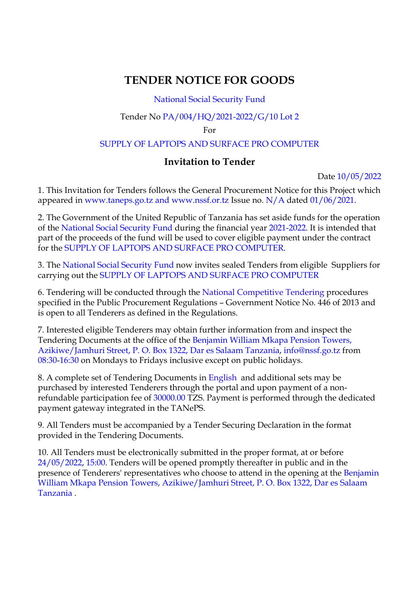# **TENDER NOTICE FOR GOODS**

# National Social Security Fund

## Tender No PA/004/HQ/2021-2022/G/10 Lot 2

#### For

## SUPPLY OF LAPTOPS AND SURFACE PRO COMPUTER

# **Invitation to Tender**

Date 10/05/2022

1. This Invitation for Tenders follows the General Procurement Notice for this Project which appeared in www.taneps.go.tz and www.nssf.or.tz Issue no. N/A dated 01/06/2021.

2. The Government of the United Republic of Tanzania has set aside funds for the operation of the National Social Security Fund during the financial year 2021-2022. It is intended that part of the proceeds of the fund will be used to cover eligible payment under the contract for the SUPPLY OF LAPTOPS AND SURFACE PRO COMPUTER.

3. The National Social Security Fund now invites sealed Tenders from eligible Suppliers for carrying out the SUPPLY OF LAPTOPS AND SURFACE PRO COMPUTER

6. Tendering will be conducted through the National Competitive Tendering procedures specified in the Public Procurement Regulations – Government Notice No. 446 of 2013 and is open to all Tenderers as defined in the Regulations.

7. Interested eligible Tenderers may obtain further information from and inspect the Tendering Documents at the office of the Benjamin William Mkapa Pension Towers, Azikiwe/Jamhuri Street, P. O. Box 1322, Dar es Salaam Tanzania, info@nssf.go.tz from 08:30-16:30 on Mondays to Fridays inclusive except on public holidays.

8. A complete set of Tendering Documents in English and additional sets may be purchased by interested Tenderers through the portal and upon payment of a nonrefundable participation fee of 30000.00 TZS. Payment is performed through the dedicated payment gateway integrated in the TANePS.

9. All Tenders must be accompanied by a Tender Securing Declaration in the format provided in the Tendering Documents.

10. All Tenders must be electronically submitted in the proper format, at or before 24/05/2022, 15:00. Tenders will be opened promptly thereafter in public and in the presence of Tenderers' representatives who choose to attend in the opening at the Benjamin William Mkapa Pension Towers, Azikiwe/Jamhuri Street, P. O. Box 1322, Dar es Salaam Tanzania .